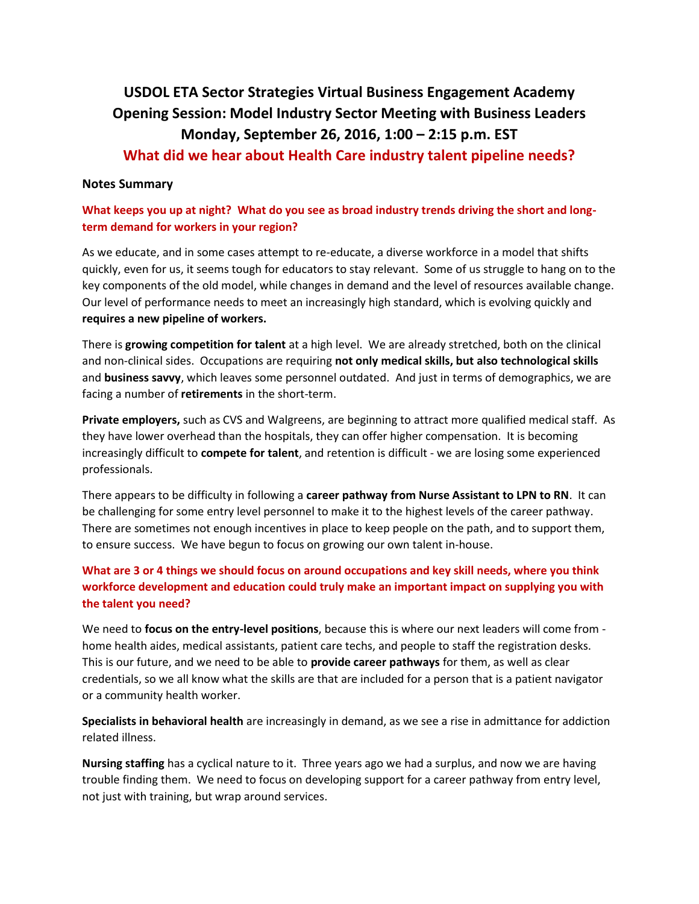# **USDOL ETA Sector Strategies Virtual Business Engagement Academy Opening Session: Model Industry Sector Meeting with Business Leaders Monday, September 26, 2016, 1:00 – 2:15 p.m. EST What did we hear about Health Care industry talent pipeline needs?**

#### **Notes Summary**

### **What keeps you up at night? What do you see as broad industry trends driving the short and longterm demand for workers in your region?**

As we educate, and in some cases attempt to re-educate, a diverse workforce in a model that shifts quickly, even for us, it seems tough for educators to stay relevant. Some of us struggle to hang on to the key components of the old model, while changes in demand and the level of resources available change. Our level of performance needs to meet an increasingly high standard, which is evolving quickly and **requires a new pipeline of workers.**

There is **growing competition for talent** at a high level. We are already stretched, both on the clinical and non-clinical sides. Occupations are requiring **not only medical skills, but also technological skills** and **business savvy**, which leaves some personnel outdated. And just in terms of demographics, we are facing a number of **retirements** in the short-term.

**Private employers,** such as CVS and Walgreens, are beginning to attract more qualified medical staff. As they have lower overhead than the hospitals, they can offer higher compensation. It is becoming increasingly difficult to **compete for talent**, and retention is difficult - we are losing some experienced professionals.

There appears to be difficulty in following a **career pathway from Nurse Assistant to LPN to RN**. It can be challenging for some entry level personnel to make it to the highest levels of the career pathway. There are sometimes not enough incentives in place to keep people on the path, and to support them, to ensure success. We have begun to focus on growing our own talent in-house.

## **What are 3 or 4 things we should focus on around occupations and key skill needs, where you think workforce development and education could truly make an important impact on supplying you with the talent you need?**

We need to **focus on the entry-level positions**, because this is where our next leaders will come from home health aides, medical assistants, patient care techs, and people to staff the registration desks. This is our future, and we need to be able to **provide career pathways** for them, as well as clear credentials, so we all know what the skills are that are included for a person that is a patient navigator or a community health worker.

**Specialists in behavioral health** are increasingly in demand, as we see a rise in admittance for addiction related illness.

**Nursing staffing** has a cyclical nature to it. Three years ago we had a surplus, and now we are having trouble finding them. We need to focus on developing support for a career pathway from entry level, not just with training, but wrap around services.